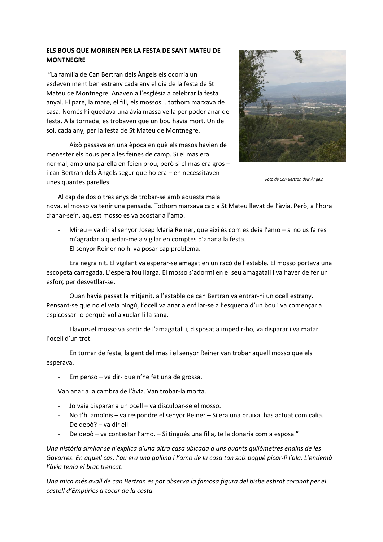## **ELS BOUS QUE MORIREN PER LA FESTA DE SANT MATEU DE MONTNEGRE**

"La família de Can Bertran dels Àngels els ocorria un esdeveniment ben estrany cada any el dia de la festa de St Mateu de Montnegre. Anaven a l'església a celebrar la festa anyal. El pare, la mare, el fill, els mossos... tothom marxava de casa. Només hi quedava una àvia massa vella per poder anar de festa. A la tornada, es trobaven que un bou havia mort. Un de sol, cada any, per la festa de St Mateu de Montnegre.

Això passava en una època en què els masos havien de menester els bous per a les feines de camp. Si el mas era normal, amb una parella en feien prou, però si el mas era gros – i can Bertran dels Àngels segur que ho era – en necessitaven unes quantes parelles.



*Foto de Can Bertran dels Àngels*

Al cap de dos o tres anys de trobar-se amb aquesta mala nova, el mosso va tenir una pensada. Tothom marxava cap a St Mateu llevat de l'àvia. Però, a l'hora d'anar-se'n, aquest mosso es va acostar a l'amo.

Mireu – va dir al senyor Josep Maria Reiner, que així és com es deia l'amo – si no us fa res m'agradaria quedar-me a vigilar en comptes d'anar a la festa. El senyor Reiner no hi va posar cap problema.

Era negra nit. El vigilant va esperar-se amagat en un racó de l'estable. El mosso portava una escopeta carregada. L'espera fou llarga. El mosso s'adormí en el seu amagatall i va haver de fer un esforç per desvetllar-se.

Quan havia passat la mitjanit, a l'estable de can Bertran va entrar-hi un ocell estrany. Pensant-se que no el veia ningú, l'ocell va anar a enfilar-se a l'esquena d'un bou i va començar a espicossar-lo perquè volia xuclar-li la sang.

Llavors el mosso va sortir de l'amagatall i, disposat a impedir-ho, va disparar i va matar l'ocell d'un tret.

En tornar de festa, la gent del mas i el senyor Reiner van trobar aquell mosso que els esperava.

- Em penso – va dir- que n'he fet una de grossa.

Van anar a la cambra de l'àvia. Van trobar-la morta.

- Jo vaig disparar a un ocell va disculpar-se el mosso.
- No t'hi amoïnis va respondre el senyor Reiner Si era una bruixa, has actuat com calia.
- De debò? va dir ell.
- De debò va contestar l'amo. Si tingués una filla, te la donaria com a esposa."

*Una història similar se n'explica d'una altra casa ubicada a uns quants quilòmetres endins de les Gavarres. En aquell cas, l'au era una gallina i l'amo de la casa tan sols pogué picar-li l'ala. L'endemà l'àvia tenia el braç trencat.*

*Una mica més avall de can Bertran es pot observa la famosa figura del bisbe estirat coronat per el castell d'Empúries a tocar de la costa.*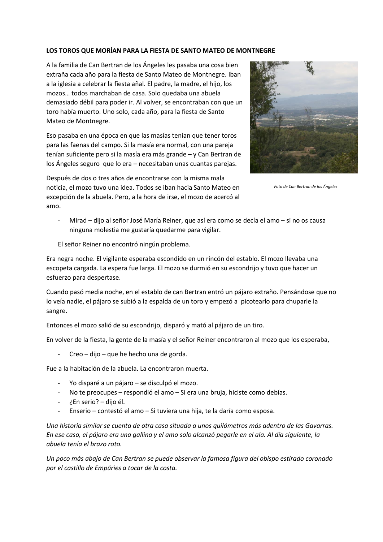## **LOS TOROS QUE MORÍAN PARA LA FIESTA DE SANTO MATEO DE MONTNEGRE**

A la familia de Can Bertran de los Ángeles les pasaba una cosa bien extraña cada año para la fiesta de Santo Mateo de Montnegre. Iban a la iglesia a celebrar la fiesta añal. El padre, la madre, el hijo, los mozos… todos marchaban de casa. Solo quedaba una abuela demasiado débil para poder ir. Al volver, se encontraban con que un toro había muerto. Uno solo, cada año, para la fiesta de Santo Mateo de Montnegre.

Eso pasaba en una época en que las masías tenían que tener toros para las faenas del campo. Si la masía era normal, con una pareja tenían suficiente pero si la masía era más grande – y Can Bertran de los Ángeles seguro que lo era – necesitaban unas cuantas parejas.

Después de dos o tres años de encontrarse con la misma mala noticia, el mozo tuvo una idea. Todos se iban hacia Santo Mateo en excepción de la abuela. Pero, a la hora de irse, el mozo de acercó al amo.



*Foto de Can Bertran de los Ángeles*

- Mirad – dijo al señor José María Reiner, que así era como se decía el amo – si no os causa ninguna molestia me gustaría quedarme para vigilar.

El señor Reiner no encontró ningún problema.

Era negra noche. El vigilante esperaba escondido en un rincón del establo. El mozo llevaba una escopeta cargada. La espera fue larga. El mozo se durmió en su escondrijo y tuvo que hacer un esfuerzo para despertase.

Cuando pasó media noche, en el establo de can Bertran entró un pájaro extraño. Pensándose que no lo veía nadie, el pájaro se subió a la espalda de un toro y empezó a picotearlo para chuparle la sangre.

Entonces el mozo salió de su escondrijo, disparó y mató al pájaro de un tiro.

En volver de la fiesta, la gente de la masía y el señor Reiner encontraron al mozo que los esperaba,

- Creo – dijo – que he hecho una de gorda.

Fue a la habitación de la abuela. La encontraron muerta.

- Yo disparé a un pájaro se disculpó el mozo.
- No te preocupes respondió el amo Si era una bruja, hiciste como debías.
- ¿En serio? dijo él.
- Enserio contestó el amo Si tuviera una hija, te la daría como esposa.

*Una historia similar se cuenta de otra casa situada a unos quilómetros más adentro de las Gavarras. En ese caso, el pájaro era una gallina y el amo solo alcanzó pegarle en el ala. Al día siguiente, la abuela tenía el brazo roto.*

*Un poco más abajo de Can Bertran se puede observar la famosa figura del obispo estirado coronado por el castillo de Empúries a tocar de la costa.*